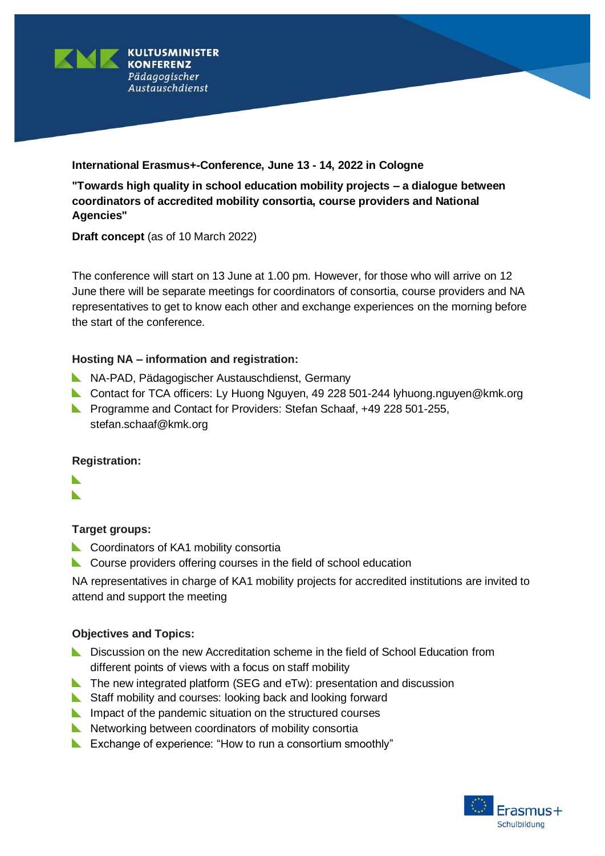

## **International Erasmus+-Conference, June 13 - 14, 2022 in Cologne**

**"Towards high quality in school education mobility projects – a dialogue between coordinators of accredited mobility consortia, course providers and National Agencies"**

**Draft concept** (as of 10 March 2022)

The conference will start on 13 June at 1.00 pm. However, for those who will arrive on 12 June there will be separate meetings for coordinators of consortia, course providers and NA representatives to get to know each other and exchange experiences on the morning before the start of the conference.

## **Hosting NA – information and registration:**

- NA-PAD, Pädagogischer Austauschdienst, Germany
- Contact for TCA officers: Ly Huong Nguyen, 49 228 501-244 lyhuong.nguyen@kmk.org
- **Programme and Contact for Providers: Stefan Schaaf, +49 228 501-255,** stefan.schaaf@kmk.org

### **Registration:**

- N
- $\blacktriangleright$

# **Target groups:**

- **Coordinators of KA1 mobility consortially**
- **L** Course providers offering courses in the field of school education

NA representatives in charge of KA1 mobility projects for accredited institutions are invited to attend and support the meeting

# **Objectives and Topics:**

- **L** Discussion on the new Accreditation scheme in the field of School Education from different points of views with a focus on staff mobility
- The new integrated platform (SEG and eTw): presentation and discussion
- Staff mobility and courses: looking back and looking forward
- **IM** Impact of the pandemic situation on the structured courses
- $\blacktriangleright$  Networking between coordinators of mobility consortia
- Exchange of experience: "How to run a consortium smoothly"